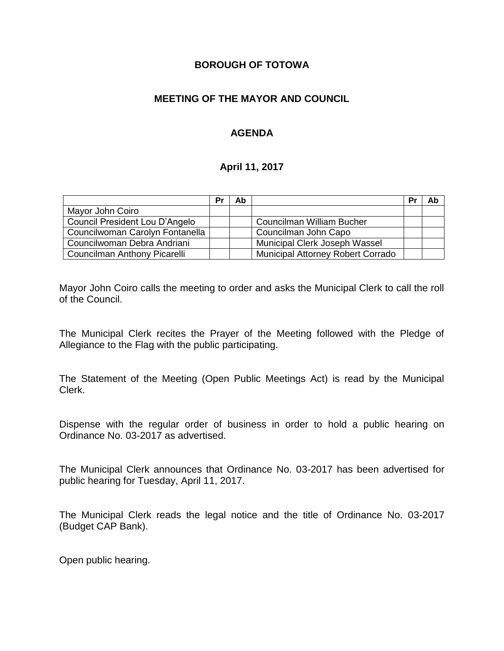#### **BOROUGH OF TOTOWA**

#### **MEETING OF THE MAYOR AND COUNCIL**

#### **AGENDA**

#### **April 11, 2017**

|                                 | Pr | Ab |                                          | Pr | Ab |
|---------------------------------|----|----|------------------------------------------|----|----|
| Mayor John Coiro                |    |    |                                          |    |    |
| Council President Lou D'Angelo  |    |    | Councilman William Bucher                |    |    |
| Councilwoman Carolyn Fontanella |    |    | Councilman John Capo                     |    |    |
| Councilwoman Debra Andriani     |    |    | Municipal Clerk Joseph Wassel            |    |    |
| Councilman Anthony Picarelli    |    |    | <b>Municipal Attorney Robert Corrado</b> |    |    |

Mayor John Coiro calls the meeting to order and asks the Municipal Clerk to call the roll of the Council.

The Municipal Clerk recites the Prayer of the Meeting followed with the Pledge of Allegiance to the Flag with the public participating.

The Statement of the Meeting (Open Public Meetings Act) is read by the Municipal Clerk.

Dispense with the regular order of business in order to hold a public hearing on Ordinance No. 03-2017 as advertised.

The Municipal Clerk announces that Ordinance No. 03-2017 has been advertised for public hearing for Tuesday, April 11, 2017.

The Municipal Clerk reads the legal notice and the title of Ordinance No. 03-2017 (Budget CAP Bank).

Open public hearing.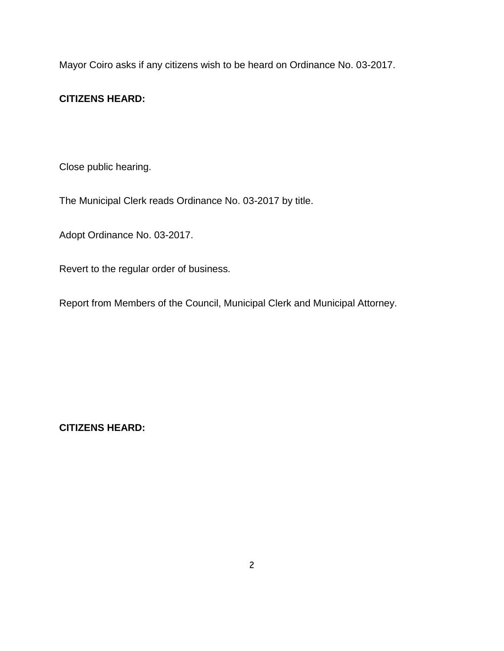Mayor Coiro asks if any citizens wish to be heard on Ordinance No. 03-2017.

# **CITIZENS HEARD:**

Close public hearing.

The Municipal Clerk reads Ordinance No. 03-2017 by title.

Adopt Ordinance No. 03-2017.

Revert to the regular order of business.

Report from Members of the Council, Municipal Clerk and Municipal Attorney.

**CITIZENS HEARD:**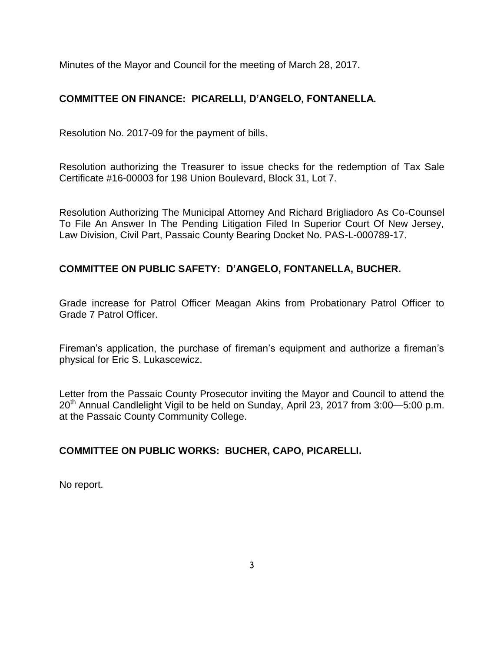Minutes of the Mayor and Council for the meeting of March 28, 2017.

# **COMMITTEE ON FINANCE: PICARELLI, D'ANGELO, FONTANELLA.**

Resolution No. 2017-09 for the payment of bills.

Resolution authorizing the Treasurer to issue checks for the redemption of Tax Sale Certificate #16-00003 for 198 Union Boulevard, Block 31, Lot 7.

Resolution Authorizing The Municipal Attorney And Richard Brigliadoro As Co-Counsel To File An Answer In The Pending Litigation Filed In Superior Court Of New Jersey, Law Division, Civil Part, Passaic County Bearing Docket No. PAS-L-000789-17.

# **COMMITTEE ON PUBLIC SAFETY: D'ANGELO, FONTANELLA, BUCHER.**

Grade increase for Patrol Officer Meagan Akins from Probationary Patrol Officer to Grade 7 Patrol Officer.

Fireman's application, the purchase of fireman's equipment and authorize a fireman's physical for Eric S. Lukascewicz.

Letter from the Passaic County Prosecutor inviting the Mayor and Council to attend the  $20<sup>th</sup>$  Annual Candlelight Vigil to be held on Sunday, April 23, 2017 from 3:00–5:00 p.m. at the Passaic County Community College.

# **COMMITTEE ON PUBLIC WORKS: BUCHER, CAPO, PICARELLI.**

No report.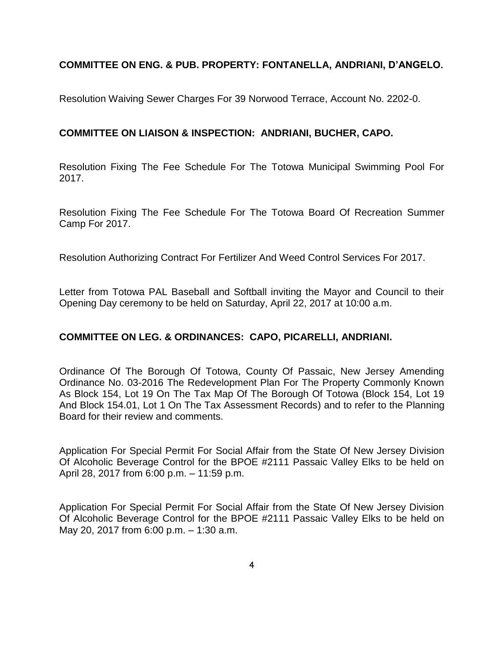# **COMMITTEE ON ENG. & PUB. PROPERTY: FONTANELLA, ANDRIANI, D'ANGELO.**

Resolution Waiving Sewer Charges For 39 Norwood Terrace, Account No. 2202-0.

#### **COMMITTEE ON LIAISON & INSPECTION: ANDRIANI, BUCHER, CAPO.**

Resolution Fixing The Fee Schedule For The Totowa Municipal Swimming Pool For 2017.

Resolution Fixing The Fee Schedule For The Totowa Board Of Recreation Summer Camp For 2017.

Resolution Authorizing Contract For Fertilizer And Weed Control Services For 2017.

Letter from Totowa PAL Baseball and Softball inviting the Mayor and Council to their Opening Day ceremony to be held on Saturday, April 22, 2017 at 10:00 a.m.

# **COMMITTEE ON LEG. & ORDINANCES: CAPO, PICARELLI, ANDRIANI.**

Ordinance Of The Borough Of Totowa, County Of Passaic, New Jersey Amending Ordinance No. 03-2016 The Redevelopment Plan For The Property Commonly Known As Block 154, Lot 19 On The Tax Map Of The Borough Of Totowa (Block 154, Lot 19 And Block 154.01, Lot 1 On The Tax Assessment Records) and to refer to the Planning Board for their review and comments.

Application For Special Permit For Social Affair from the State Of New Jersey Division Of Alcoholic Beverage Control for the BPOE #2111 Passaic Valley Elks to be held on April 28, 2017 from 6:00 p.m. – 11:59 p.m.

Application For Special Permit For Social Affair from the State Of New Jersey Division Of Alcoholic Beverage Control for the BPOE #2111 Passaic Valley Elks to be held on May 20, 2017 from 6:00 p.m. – 1:30 a.m.